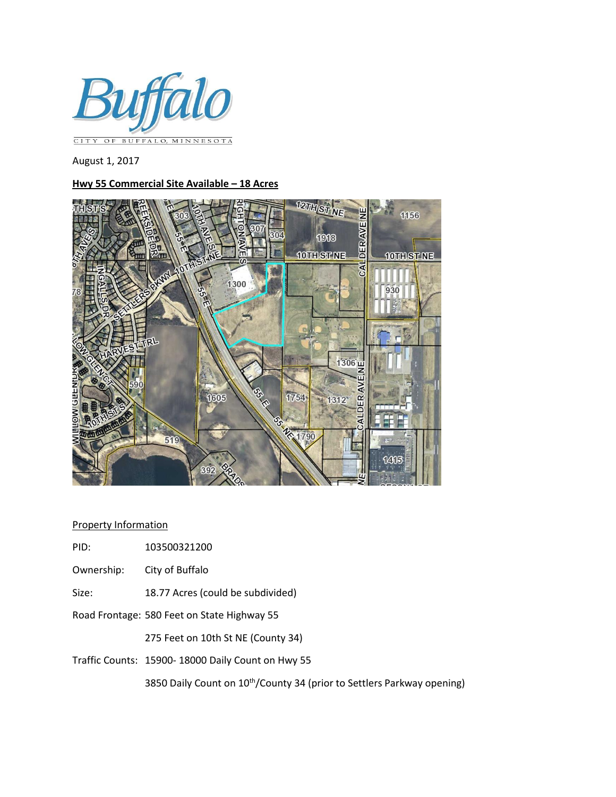

August 1, 2017

## **Hwy 55 Commercial Site Available – 18 Acres**



## Property Information

- PID: 103500321200
- Ownership: City of Buffalo
- Size: 18.77 Acres (could be subdivided)
- Road Frontage: 580 Feet on State Highway 55

275 Feet on 10th St NE (County 34)

Traffic Counts: 15900- 18000 Daily Count on Hwy 55

3850 Daily Count on 10<sup>th</sup>/County 34 (prior to Settlers Parkway opening)